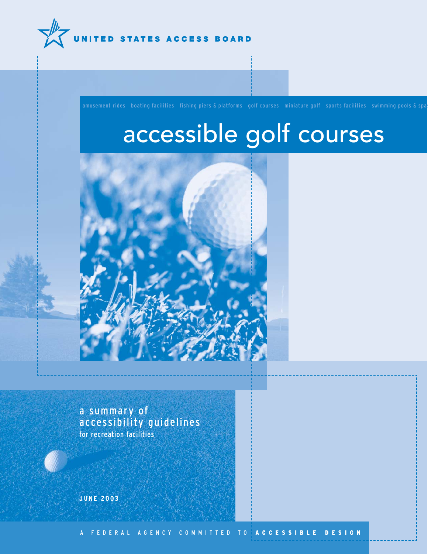

# accessible golf courses



a summary of accessibility guidelines for recreation facilities

**JUNE 2003**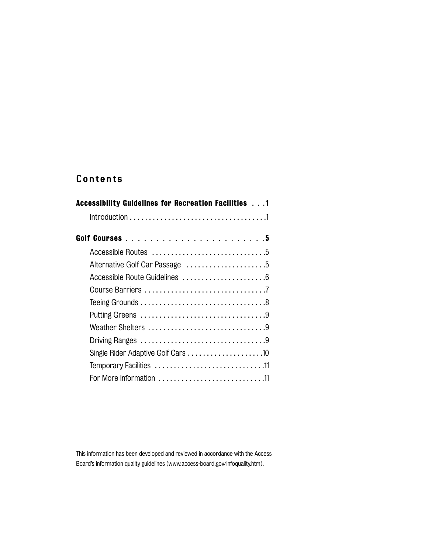# **Contents**

| Accessibility Guidelines for Recreation Facilities 1                                                 |
|------------------------------------------------------------------------------------------------------|
|                                                                                                      |
|                                                                                                      |
|                                                                                                      |
|                                                                                                      |
|                                                                                                      |
|                                                                                                      |
| Teeing Grounds $\ldots \ldots \ldots \ldots \ldots \ldots \ldots \ldots \ldots \ldots \ldots \ldots$ |
|                                                                                                      |
|                                                                                                      |
|                                                                                                      |
| Single Rider Adaptive Golf Cars 10                                                                   |
|                                                                                                      |
|                                                                                                      |

This information has been developed and reviewed in accordance with the Access Board's information quality guidelines (www.access-board.gov/infoquality.htm).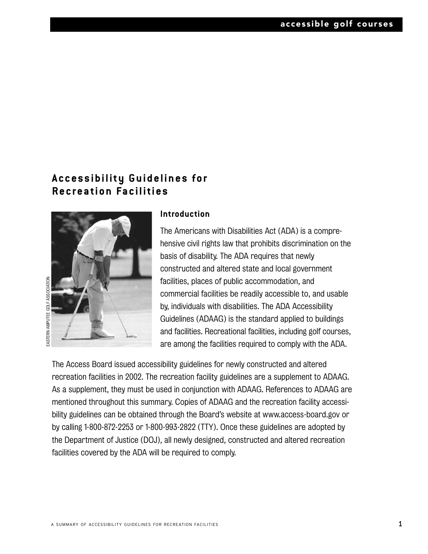# **Accessibility Guidelines for Recreation Facilities**



#### **Introduction**

The Americans with Disabilities Act (ADA) is a comprehensive civil rights law that prohibits discrimination on the basis of disability. The ADA requires that newly constructed and altered state and local government facilities, places of public accommodation, and commercial facilities be readily accessible to, and usable by, individuals with disabilities. The ADA Accessibility Guidelines (ADAAG) is the standard applied to buildings and facilities. Recreational facilities, including golf courses, are among the facilities required to comply with the ADA.

The Access Board issued accessibility guidelines for newly constructed and altered recreation facilities in 2002. The recreation facility guidelines are a supplement to ADAAG. As a supplement, they must be used in conjunction with ADAAG. References to ADAAG are mentioned throughout this summary. Copies of ADAAG and the recreation facility accessibility guidelines can be obtained through the Board's website at www.access-board.gov or by calling 1-800-872-2253 or 1-800-993-2822 (TTY). Once these guidelines are adopted by the Department of Justice (DOJ), all newly designed, constructed and altered recreation facilities covered by the ADA will be required to comply.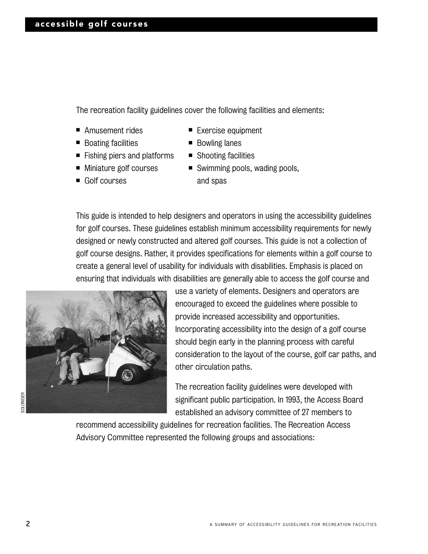The recreation facility guidelines cover the following facilities and elements:

- Amusement rides
- Boating facilities
- Fishing piers and platforms
- Miniature golf courses
- Golf courses
- Exercise equipment
- Bowling lanes
- Shooting facilities
- Swimming pools, wading pools, and spas

This guide is intended to help designers and operators in using the accessibility guidelines for golf courses. These guidelines establish minimum accessibility requirements for newly designed or newly constructed and altered golf courses. This guide is not a collection of golf course designs. Rather, it provides specifications for elements within a golf course to create a general level of usability for individuals with disabilities. Emphasis is placed on ensuring that individuals with disabilities are generally able to access the golf course and



**SOLORIDER** SOLORIDER

use a variety of elements. Designers and operators are encouraged to exceed the guidelines where possible to provide increased accessibility and opportunities. Incorporating accessibility into the design of a golf course should begin early in the planning process with careful consideration to the layout of the course, golf car paths, and other circulation paths.

The recreation facility guidelines were developed with significant public participation. In 1993, the Access Board established an advisory committee of 27 members to

recommend accessibility guidelines for recreation facilities. The Recreation Access Advisory Committee represented the following groups and associations: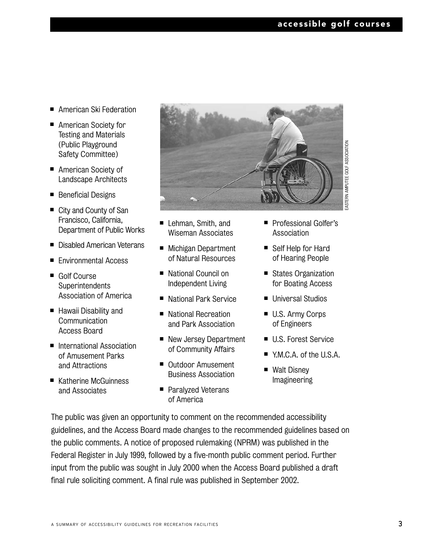- American Ski Federation
- American Society for Testing and Materials (Public Playground Safety Committee)
- American Society of Landscape Architects
- Beneficial Designs
- City and County of San Francisco, California, Department of Public Works
- Disabled American Veterans
- Environmental Access
- Golf Course **Superintendents** Association of America
- Hawaii Disability and **Communication** Access Board
- International Association of Amusement Parks and Attractions
- Katherine McGuinness and Associates



- Lehman, Smith, and Wiseman Associates
- Michigan Department of Natural Resources
- National Council on Independent Living
- National Park Service
- National Recreation and Park Association
- New Jersey Department of Community Affairs
- Outdoor Amusement Business Association
- Paralyzed Veterans of America
- Professional Golfer's Association
- Self Help for Hard of Hearing People
- States Organization for Boating Access
- Universal Studios
- U.S. Army Corps of Engineers
- U.S. Forest Service
- Y.M.C.A. of the U.S.A.
- Walt Disney Imagineering

The public was given an opportunity to comment on the recommended accessibility guidelines, and the Access Board made changes to the recommended guidelines based on the public comments. A notice of proposed rulemaking (NPRM) was published in the Federal Register in July 1999, followed by a five-month public comment period. Further input from the public was sought in July 2000 when the Access Board published a draft final rule soliciting comment. A final rule was published in September 2002.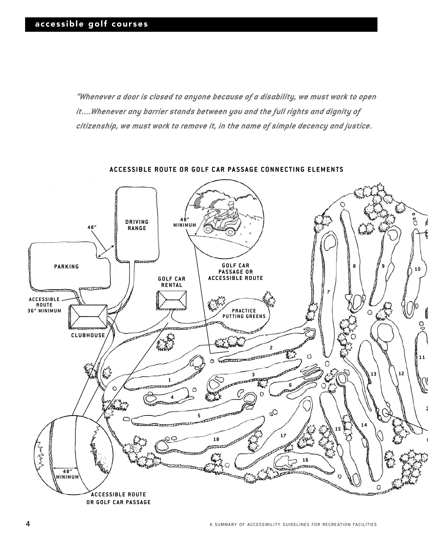*"Whenever a door is closed to anyone because of a disability, we must work to open it....Whenever any barrier stands between you and the full rights and dignity of citizenship, we must work to remove it, in the name of simple decency and justice.*



**ACCESSIBLE ROUTE OR GOLF CAR PASSAGE CONNECTING ELEMENTS**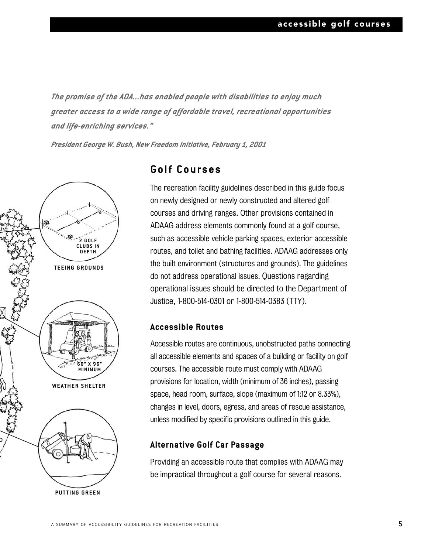*The promise of the ADA...has enabled people with disabilities to enjoy much greater access to a wide range of affordable travel, recreational opportunities and life-enriching services."*

*President George W. Bush, New Freedom Initiative, February 1, 2001*



**PUTTING GREEN**

### **Golf Courses**

The recreation facility guidelines described in this guide focus on newly designed or newly constructed and altered golf courses and driving ranges. Other provisions contained in ADAAG address elements commonly found at a golf course, such as accessible vehicle parking spaces, exterior accessible routes, and toilet and bathing facilities. ADAAG addresses only the built environment (structures and grounds). The guidelines do not address operational issues. Questions regarding operational issues should be directed to the Department of Justice, 1-800-514-0301 or 1-800-514-0383 (TTY).

#### **Accessible Routes**

Accessible routes are continuous, unobstructed paths connecting all accessible elements and spaces of a building or facility on golf courses. The accessible route must comply with ADAAG provisions for location, width (minimum of 36 inches), passing space, head room, surface, slope (maximum of 1:12 or 8.33%), changes in level, doors, egress, and areas of rescue assistance, unless modified by specific provisions outlined in this guide.

#### **Alternative Golf Car Passage**

Providing an accessible route that complies with ADAAG may be impractical throughout a golf course for several reasons.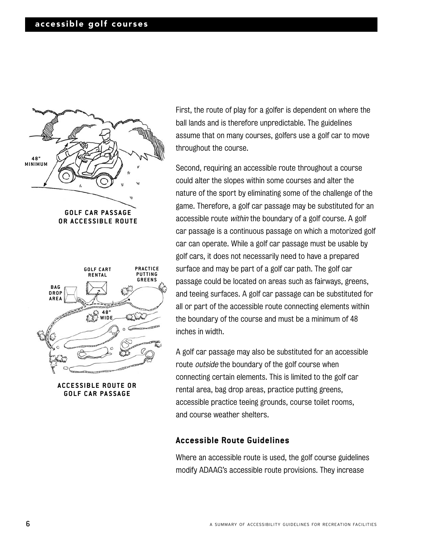

**OR ACCESSIBLE ROUTE**



**ACCESSIBLE ROUTE OR GOLF CAR PASSAGE**

First, the route of play for a golfer is dependent on where the ball lands and is therefore unpredictable. The guidelines assume that on many courses, golfers use a golf car to move throughout the course.

Second, requiring an accessible route throughout a course could alter the slopes within some courses and alter the nature of the sport by eliminating some of the challenge of the game. Therefore, a golf car passage may be substituted for an accessible route within the boundary of a golf course. A golf car passage is a continuous passage on which a motorized golf car can operate. While a golf car passage must be usable by golf cars, it does not necessarily need to have a prepared surface and may be part of a golf car path. The golf car passage could be located on areas such as fairways, greens, and teeing surfaces. A golf car passage can be substituted for all or part of the accessible route connecting elements within the boundary of the course and must be a minimum of 48 inches in width.

A golf car passage may also be substituted for an accessible route *outside* the boundary of the golf course when connecting certain elements. This is limited to the golf car rental area, bag drop areas, practice putting greens, accessible practice teeing grounds, course toilet rooms, and course weather shelters.

#### **Accessible Route Guidelines**

Where an accessible route is used, the golf course guidelines modify ADAAG's accessible route provisions. They increase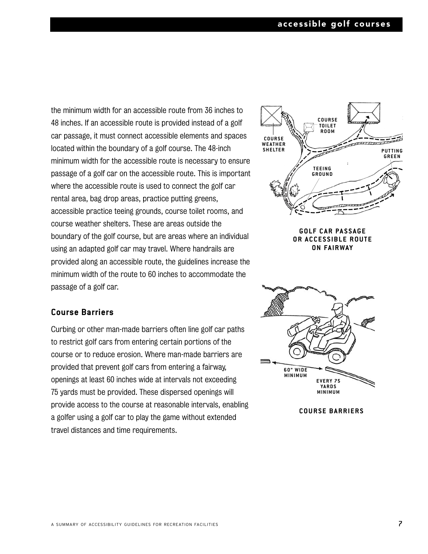the minimum width for an accessible route from 36 inches to 48 inches. If an accessible route is provided instead of a golf car passage, it must connect accessible elements and spaces located within the boundary of a golf course. The 48-inch minimum width for the accessible route is necessary to ensure passage of a golf car on the accessible route. This is important where the accessible route is used to connect the golf car rental area, bag drop areas, practice putting greens, accessible practice teeing grounds, course toilet rooms, and course weather shelters. These are areas outside the boundary of the golf course, but are areas where an individual using an adapted golf car may travel. Where handrails are provided along an accessible route, the guidelines increase the minimum width of the route to 60 inches to accommodate the passage of a golf car.

#### **Course Barriers**

Curbing or other man-made barriers often line golf car paths to restrict golf cars from entering certain portions of the course or to reduce erosion. Where man-made barriers are provided that prevent golf cars from entering a fairway, openings at least 60 inches wide at intervals not exceeding 75 yards must be provided. These dispersed openings will provide access to the course at reasonable intervals, enabling a golfer using a golf car to play the game without extended travel distances and time requirements.



**GOLF CAR PASSAGE OR ACCESSIBLE ROUTE ON FAIRWAY**



**COURSE BARRIERS**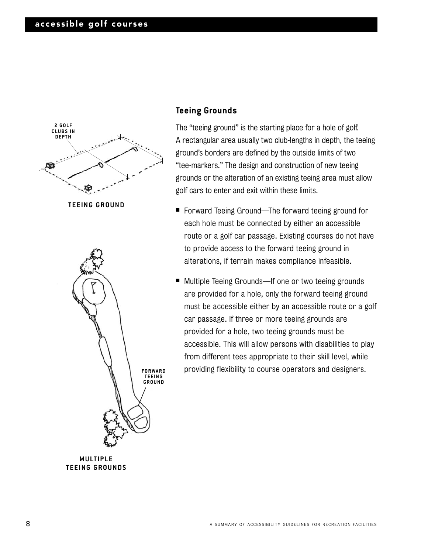



**MULTIPLE TEEING GROUNDS**

#### **Teeing Grounds**

The "teeing ground" is the starting place for a hole of golf. A rectangular area usually two club-lengths in depth, the teeing ground's borders are defined by the outside limits of two "tee-markers." The design and construction of new teeing grounds or the alteration of an existing teeing area must allow golf cars to enter and exit within these limits.

- Forward Teeing Ground—The forward teeing ground for each hole must be connected by either an accessible route or a golf car passage. Existing courses do not have to provide access to the forward teeing ground in alterations, if terrain makes compliance infeasible.
- Multiple Teeing Grounds—If one or two teeing grounds are provided for a hole, only the forward teeing ground must be accessible either by an accessible route or a golf car passage. If three or more teeing grounds are provided for a hole, two teeing grounds must be accessible. This will allow persons with disabilities to play from different tees appropriate to their skill level, while **FORWARD** providing flexibility to course operators and designers.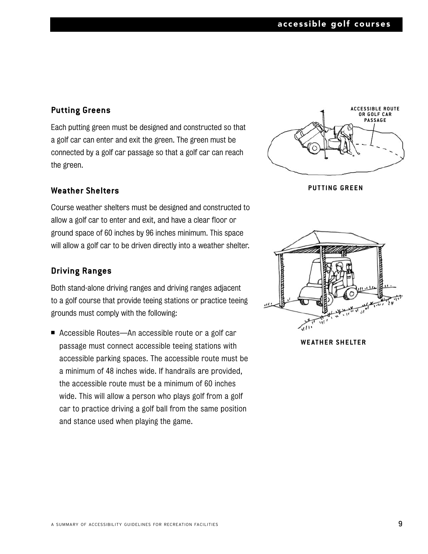#### **Putting Greens**

Each putting green must be designed and constructed so that a golf car can enter and exit the green. The green must be connected by a golf car passage so that a golf car can reach the green.

#### **Weather Shelters**

Course weather shelters must be designed and constructed to allow a golf car to enter and exit, and have a clear floor or ground space of 60 inches by 96 inches minimum. This space will allow a golf car to be driven directly into a weather shelter.

#### **Driving Ranges**

Both stand-alone driving ranges and driving ranges adjacent to a golf course that provide teeing stations or practice teeing grounds must comply with the following:

■ Accessible Routes—An accessible route or a golf car passage must connect accessible teeing stations with accessible parking spaces. The accessible route must be a minimum of 48 inches wide. If handrails are provided, the accessible route must be a minimum of 60 inches wide. This will allow a person who plays golf from a golf car to practice driving a golf ball from the same position and stance used when playing the game.



**PUTTING GREEN**



**WE ATHER SHELTER**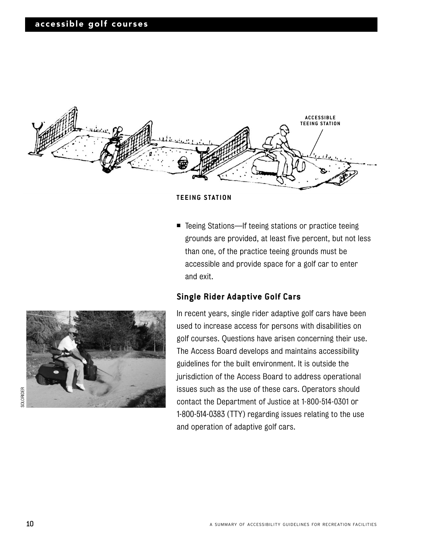

#### **TEEING STATION**

■ Teeing Stations—If teeing stations or practice teeing grounds are provided, at least five percent, but not less than one, of the practice teeing grounds must be accessible and provide space for a golf car to enter and exit.

#### **Single Rider Adaptive Golf Cars**



In recent years, single rider adaptive golf cars have been used to increase access for persons with disabilities on golf courses. Questions have arisen concerning their use. The Access Board develops and maintains accessibility guidelines for the built environment. It is outside the jurisdiction of the Access Board to address operational issues such as the use of these cars. Operators should contact the Department of Justice at 1-800-514-0301 or 1-800-514-0383 (TTY) regarding issues relating to the use and operation of adaptive golf cars.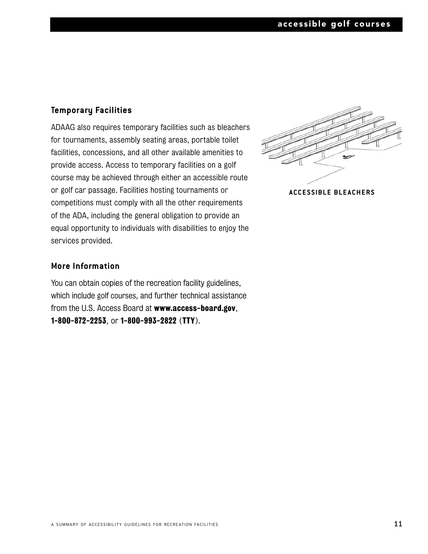#### **Temporary Facilities**

ADAAG also requires temporary facilities such as bleachers for tournaments, assembly seating areas, portable toilet facilities, concessions, and all other available amenities to provide access. Access to temporary facilities on a golf course may be achieved through either an accessible route or golf car passage. Facilities hosting tournaments or competitions must comply with all the other requirements of the ADA, including the general obligation to provide an equal opportunity to individuals with disabilities to enjoy the services provided.



**ACCESSIBLE BLEACHERS**

#### **More Information**

You can obtain copies of the recreation facility guidelines, which include golf courses, and further technical assistance from the U.S. Access Board at www.access-board.gov, 1-800-872-2253, or 1-800-993-2822 (TTY).